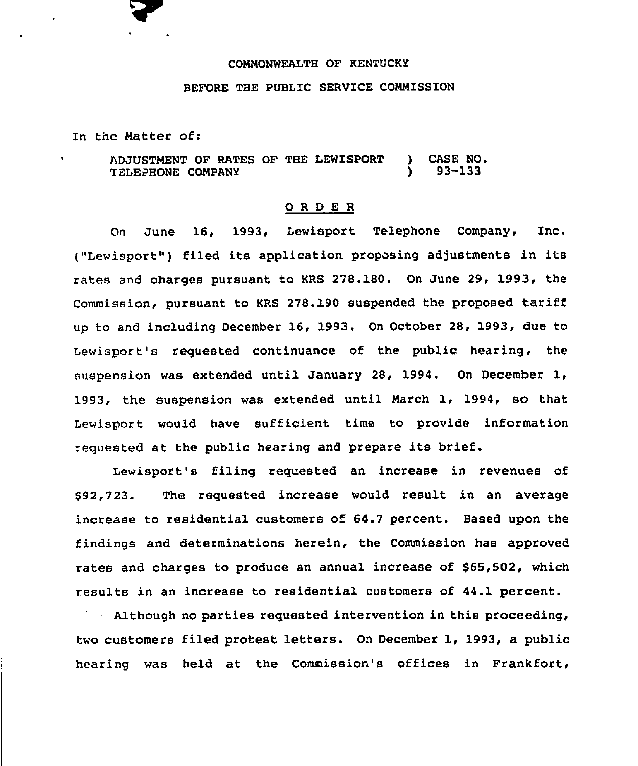# COMMONWEALTH OF KENTUCKY

### BEFORE THE PUBLIC SERVICE COMMISSION

In tne Matter of:

ADJUSTMENT OF RATES OF THE LEWISPORT ) CASE NO.<br>TELECHONE COMPANY (93-133) TELEPHONE COMPANY

#### 0 <sup>R</sup> <sup>D</sup> E R

On June 16, 1993, Lewisport Telephone Company, Inc. ("Lewisport") filed its application proposing adjustments in its rates and charges pursuant to KRS 278.180. On June 29, 1993, the Commission, pursuant to KRS 278.190 suspended the proposed tariff up to and including December 16, 1993. On October 28, 1993, due to Lewisport's requested continuance of the public hearing, the suspension was extended until January 28, 1994. On December 1, 1993, the suspension was extended until March 1, 1994, so that Lewisport would have sufficient time to provide information requested at the public hearing and prepare its brief.

Lewisport's filing requested an increase in revenues of \$92,723. The requested increase would result in an average increase to residential customers of 64.7 percent. Based upon the findings and determinations herein, the Commission has approved rates and charges to produce an annual increase of \$65,502, which results in an increase to residential customers of 44.1 percent.

Although no parties requested intervention in this proceeding, two customers filed protest letters. On December 1, 1993, a public hearing was held at the Commission's offices in Frankfort,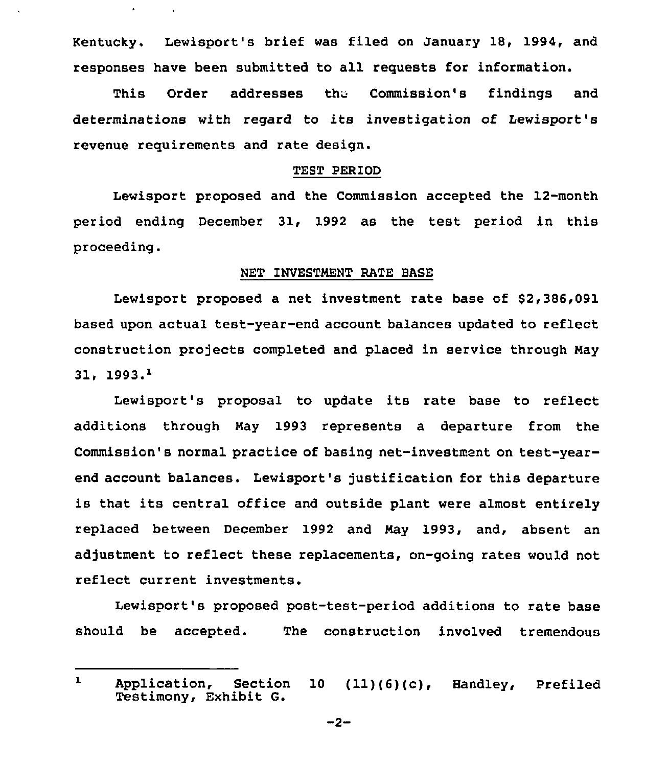Kentucky. Lewisport's brief was filed on January 18, 1994, and responses have been submitted to all requests for information.

 $\hat{\mathbf{r}}$ 

This Order addresses the Commission's findings and determinations with regard to its investigation of Lewisport's revenue requirements and rate design.

## TEST PERIOD

Lewisport proposed and the Commission accepted the 12-month period ending December 31, 1992 as the test period in this proceeding.

# NET INVESTMENT RATE BASE

Lewisport proposed a net investment rate base of \$2,386,091 based upon actual test-year-end account balances updated to reflect construction projects completed and placed in service through May  $31.1993.<sup>1</sup>$ 

Lewisport's proposal to update its rate base to reflect additions through Nay 1993 represents a departure from the Commission's normal practice of basing net-investment on test-yearend account balances. Lewisport's justification for this departure is that its central office and outside plant were almost entirely replaced between December 1992 and Nay 1993, and, absent an adjustment to reflect these replacements, on-going rates would not reflect current investments.

Lewisport's proposed post-test-period additions to rate base should be accepted. The construction involved tremendous

 $-2-$ 

 $\mathbf{1}$ Application, Section <sup>10</sup> (11)(6)(c), Handley, Prefiled Testimony, Exhibit G.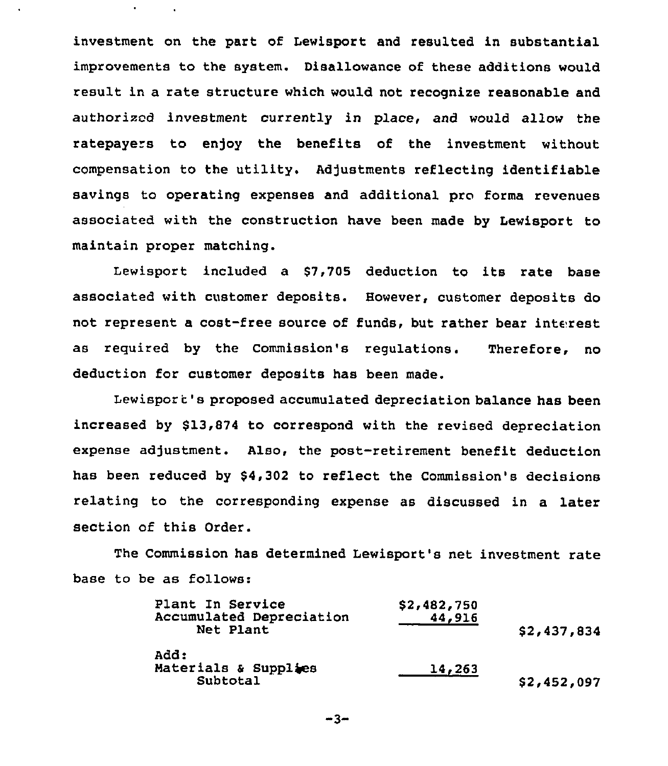investment on the part of Lewisport and resulted in substantial improvements to the system. Disallowance of these additions would result in a rate structure which would not recognize reasonable and authorized investment currently in place, and would allow the ratepayers to enjoy the benefits of the investment without compensation to the utility. Adjustments reflecting identifiable savings to operating expenses and additional pro forms revenues associated with the construction have been made by Lewisport to maintain proper matching.

Lewisport included a \$7,705 deduction to its rate base associated with customer deposits. However, customer deposits do not represent a cost-free source of funds, but rather bear interest as required by the Commission's regulations. Therefore, no deduction for customer deposits has been made.

Lewisport's proposed accumulated depreciation balance has been increased by \$13,874 to correspond with the revised depreciation expense adjustment. Also, the post-retirement benefit deduction has been reduced by \$4,302 to reflect the Commission's decisions relating to the corresponding expense as discussed in a later section of this Order.

The Commission has determined Lewisport's net investment rate base to be as follows:

| Plant In Service<br>Accumulated Depreciation<br>Net Plant | \$2,482,750<br>44,916 | \$2,437,834 |
|-----------------------------------------------------------|-----------------------|-------------|
| Add:<br>Materials & Supplies<br>Subtotal                  | 14,263                | \$2,452,097 |

-3-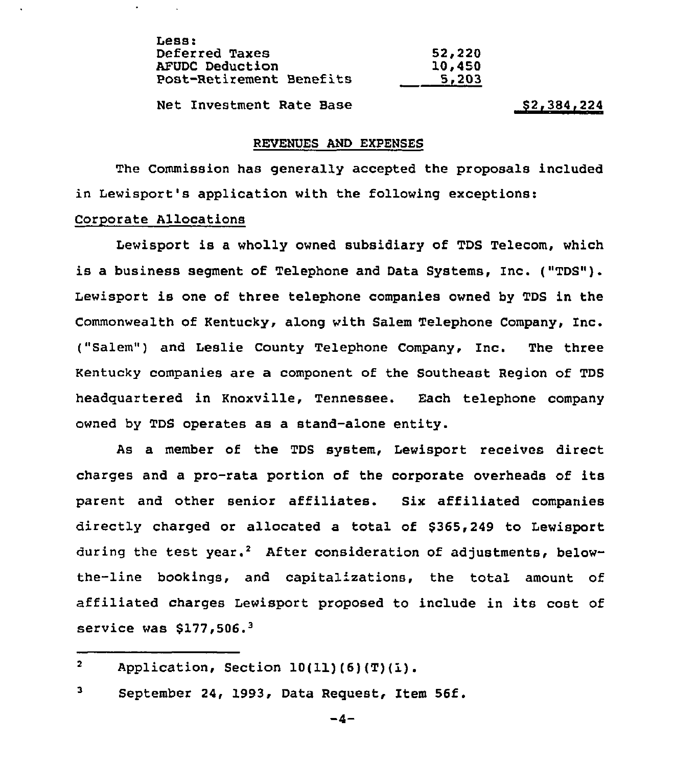| Less:                           |        |
|---------------------------------|--------|
| <b>Deferred Taxes</b>           | 52,220 |
| <b>AFUDC Deduction</b>          | 10,450 |
| <b>Post-Retirement Benefits</b> | 5,203  |
|                                 |        |

Net Investment Rate Base 82,384,224

#### REVENUES AND EXPENSES

The Commission has generally accepted the proposals included in Lewisport's application with the following exceptions:

# Corporate Allocations

 $\mathbf{r}$ 

Lewisport is a wholly owned subsidiary of TDS Telecom, which is a business segment of Telephone and Data Systems, Inc. ("TDS"). Lewisport is one of three telephone companies owned by TDS in the Commonwealth of Kentucky, along with Salem Telephone Company, Inc. ("Salem") and Leslie County Telephone Company, Inc. The three Kentucky companies are a component of the Southeast Region of TDS headquartered in Knoxville, Tennessee. Each telephone company owned by TDS operates as a stand-alone entity.

As a member of the TDS system, Lewisport receives direct charges and a pro-rata portion of the corporate overheads of its parent and other senior affiliates. Six affiliated companies directly charged or allocated a total of \$365,249 to Lewisport during the test year.<sup>2</sup> After consideration of adjustments, belowthe-line bookings, and capitalizations, the total amount of affiliated charges Lewisport proposed to include in its cost of service was  $$177,506.^3$ 

 $\overline{2}$ Application, Section  $10(11)(6)(T)(1)$ .

з September 24, 1993, Data Request, Item 56f.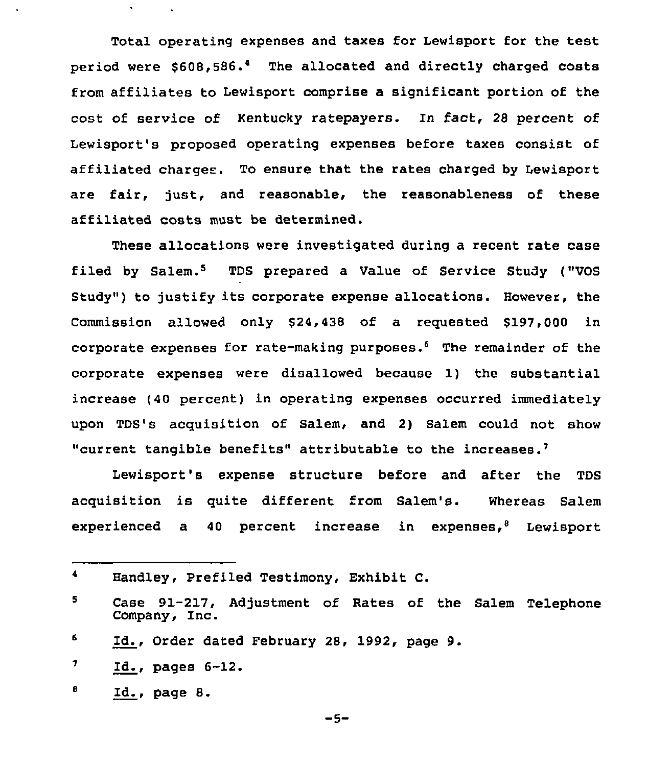Total operating expenses and taxes for Lewisport for the test period were \$608,586.<sup>4</sup> The allocated and directly charged costs from affiliates to Lewisport comprise a significant portion of the cost of service of Kentucky ratepayers. In fact, <sup>28</sup> percent of Lewisport's proposed operating expenses before taxes consist of affiliated charges. To ensure that the rates charged by Lewisport are fair, just, and reasonable, the reasonableness of these affiliated costs must be determined.

These allocations were investigated during a recent rate case filed by Salem.<sup>5</sup> TDS prepared a Value of Service Study ("VOS Study") to justify its corporate expense allocations. However, the Commission allowed only \$24,438 of a requested \$197,000 in corporate expenses for rate-making purposes. $6$  The remainder of the corporate expenses were disallowed because 1) the substantial increase (40 percent) in operating expenses occurred immediately upon TDS's acquisition of Salem, and 2) Salem could not show "current tangible benefits" attributable to the increases.

Lewisport's expense structure before and after the TDS acquisition is quite different from Salem's. Whereas Salem experienced a 40 percent increase in expenses, $8$  Lewisport

```
-5-
```
 $\blacktriangleleft$ Handley, Prefiled Testimony, Exhibit C.

<sup>5</sup> Case 91-217, Adjustment of Rates of the Salem Telephone Company, Inc.

<sup>6</sup> Id., Order dated February 28, 1992, page 9.

 $\boldsymbol{7}$ Id., pages 6-12.

в Id., page 8.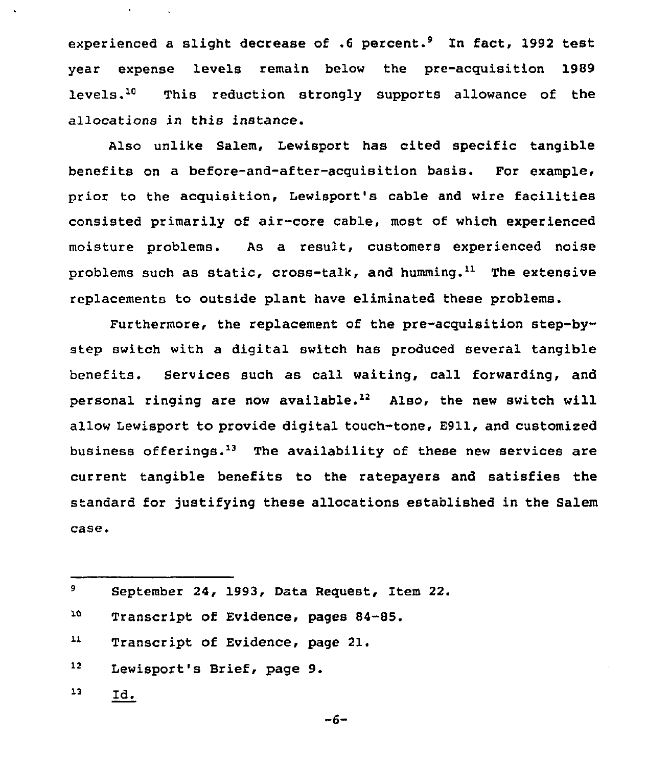experienced a slight decrease of  $.6$  percent.<sup>9</sup> In fact, 1992 test year expense levels remain below the pre-acquisition 1989 levels.<sup>10</sup> This reduction strongly supports allowance of the allocations in this instance.

Also unlike Salem, Lewisport has cited specific tangible benefits on a before-and-after-acquisition basis. For example, prior to the acquisition, Lewisport's cable and wire facilities consisted primarily of air-core cable, most of which experienced moisture problems. As a result, customers experienced noise problems such as static, cross-talk, and humming.<sup>11</sup> The extensive replacements to outside plant have eliminated these problems.

Furthermore, the replacement of the pre-acquisition step-bystep switch with a digital switch has produced several tangible benefits. Services such as call waiting, call forwarding, and personal ringing are now available.<sup>12</sup> Also, the new switch will allow Lewisport to provide digital touch-tone, 8911, and customized business offerings.<sup>13</sup> The availability of these new services are current tangible benefits to the ratepayers and satisfies the standard for justifying these allocations established in the Salem case.

| 9. | September 24, 1993, Data Request, Item 22. |
|----|--------------------------------------------|
| 70 | Transcript of Evidence, pages 84-85.       |
| 11 | Transcript of Evidence, page 21.           |
| 12 | Lewisport's Brief, page 9.                 |
| 13 | <u>id.</u>                                 |

 $-6-$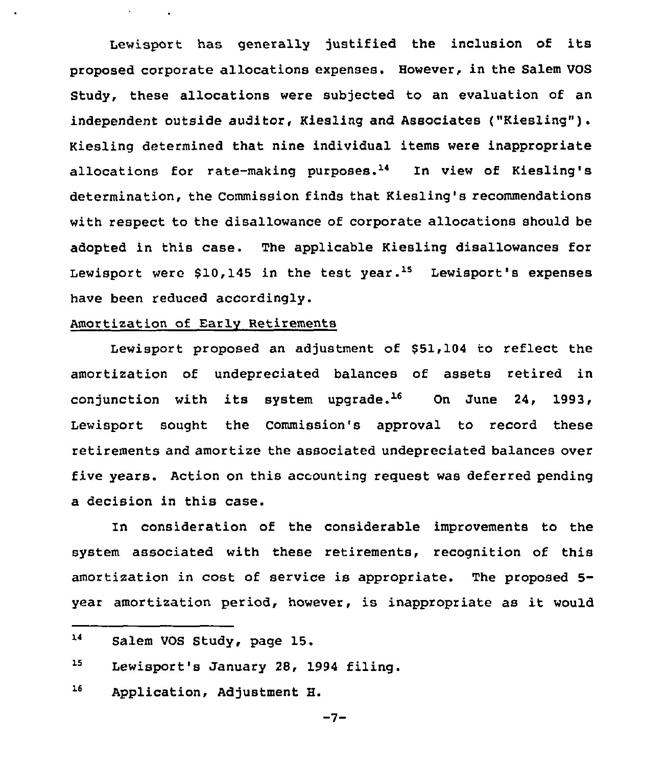Lewisport has generally justified the inclusion of its proposed corporate allocations expenses. However, in the Salem VOS Study, these allocations were subjected to an evaluation of an independent outside auditor, Kiesling and Associates ("Kiesling"). Kiesling determined that nine individual items were inappropriate allocations for rate-making purposes.<sup>14</sup> In view of Kiesling's determination, the Commission finds that Kiesling's recommendations with respect to the disallowance of corporate allocations should be adopted in this case. The applicable Kiesling disallowances for Lewisport were  $$10,145$  in the test year.<sup>15</sup> Lewisport's expenses have been reduced accordingly.

### Amortization of Early Retirements

Lewisport proposed an adjustment of \$51,104 to reflect the amortization of undepreciated balances of assets retired in conjunction with its system upgrade.<sup>16</sup> On June 24, 1993, Lewisport sought the Commission's approval to record these retirements and amortize the associated undepreciated balances over five years. Action on this accounting request was deferred pending a decision in this case.

In consideration of the considerable improvements to the system associated with these retirements, recognition of this amortization in cost of service is appropriate. The proposed 5 year amortization period, however, is inappropriate as it would

 $16$ Application, Adjustment H.

 $14$ Salem VOS Study, page 15.

 $15<sub>1</sub>$ Lewisport's January 28, 1994 filing.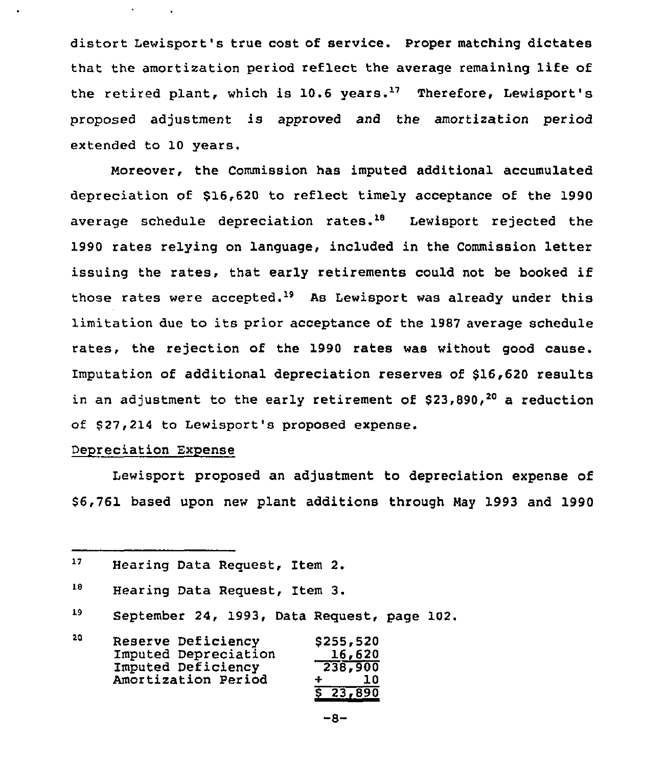distort Lewisport's true cost of service. Proper matching dictates that the amortization period reflect the average remaining life of the retired plant, which is  $10.6$  years.<sup>17</sup> Therefore, Lewisport's proposed adjustment is approved and the amortization period extended to 10 years.

Moreover, the Commission has imputed additional accumulated depreciation of \$16,620 to reflect timely acceptance of the 1990 average schedule depreciation rates. $18$  Lewisport rejected the 1990 rates relying on language, included in the Commission letter issuing the rates, that early retirements could not be hooked if those rates were accepted.'9 As Lewisport was already under this limitation due to its prior acceptance of the 1987 average schedule rates, the rejection of the 1990 rates was without good cause. Imputation of additional depreciation reserves of \$16,620 results in an adjustment to the early retirement of  $$23,890,20$  a reduction of \$27,214 to Lewisport's proposed expense.

### Depreciation Expense

Lewisport proposed an adjustment to depreciation expense of \$ 6,761 based upon new plant additions through May 1993 and 1990

<sup>19</sup> September 24, 1993, Data Request, page 102.

| 20 | Reserve Deficiency   | \$255,520 |
|----|----------------------|-----------|
|    | Imputed Depreciation | 16,620    |
|    | Imputed Deficiency   | 238,900   |
|    | Amortization Period  | 1 O       |
|    |                      | 5 23,890  |

 $-8-$ 

<sup>17</sup> Hearing Data Request, Item 2.

<sup>18</sup> Hearing Data Request, Item 3.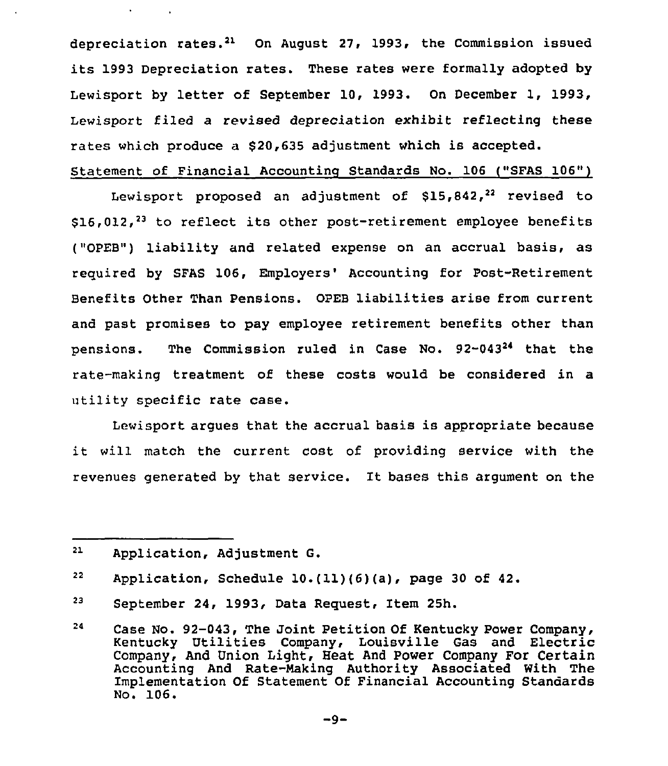depreciation rates.<sup>21</sup> On August 27, 1993, the Commission issued its 1993 Depreciation rates. These rates were formally adopted by Lewisport by letter of September 10, 1993. On December 1, 1993, Lewisport filed a revised depreciation exhibit reflecting these rates which produce a \$20,635 adjustment which is accepted.

# Statement of Financial Accountinq Standards No. 106 ("SFAS 106")

Lewisport proposed an adjustment of  $$15,842,22$  revised to  $$16,012$ ,<sup>23</sup> to reflect its other post-retirement employee benefits ("OPEB") liability and related expense on an accrual basis, as required by SFAS 106, Employers' Accounting for Post-Retirement Benefits Other Than Pensions. OPEB liabilities arise from current and past promises to pay employee retirement benefits other than pensions. The Commission ruled in Case No. 92-043<sup>24</sup> that the rate-making treatment of these costs would be considered in a utility specific rate case.

Lewisport argues that the accrual basis is appropriate because it will match the current cost of providing service with the revenues generated by that service. It bases this argument on the

<sup>21</sup> Application, Adjustment G.

<sup>22</sup> Application, Schedule 10.(11)(6)(a), page <sup>30</sup> of 42.

<sup>23</sup> September 24, 1993, Data Request, Item 25h.

<sup>24</sup> Case No. 92-043, The Joint Petition Of Kentucky Power Company, Kentucky Utilities Company, Louisville Gas and Electric Company, And Union Light, Heat And Power Company For Certain Accounting And Rate-Making Authority Associated With The Implementation Of Statement Of Financial Accounting Standards No. 106.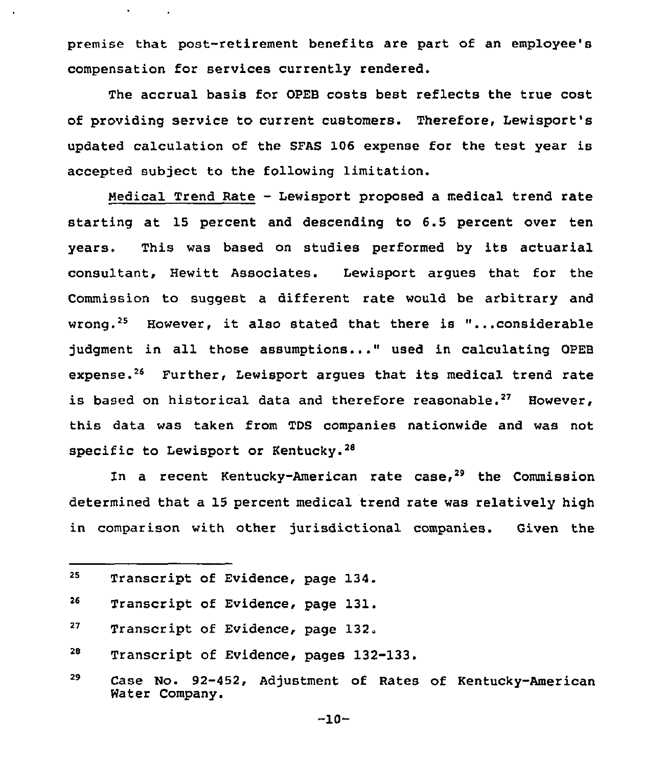premise that post-retirement benefits are part of an employee's compensation for services currently rendered.

The accrual basis for OPEB costs best reflects the true cost of providing service to cuzrent customers. Therefore, Lewisport's updated calculation of the SFAS 106 expense for the test year is accepted subject to the following limitation.

Medical Trend Rate - Lewisport proposed a medical trend rate starting at 15 percent and descending to 6.5 percent over ten years. This was based on studies performed by its actuarial consultant, Hewitt Associates. Lewisport argues that for the Commission to suggest a different rate would be arbitrary and wrong.<sup>25</sup> However, it also stated that there is "...considerable judgment in all those assumptions..." used in calculating OPEB expense.<sup>26</sup> Further, Lewisport arques that its medical trend rate is based on historical data and therefore reasonable.<sup>27</sup> However, this data was taken from TbS companies nationwide and was not specific to Lewisport or Kentucky.<sup>28</sup>

In a recent Kentucky-American rate case, $29$  the Commission determined that a 15 percent medical trend rate was relatively high in comparison with other jurisdictional companies. Given the

- 28 Transcript of Evidence, pages 132-133.
- 29 Case No. 92-452, Adjustment of Rates of Kentucky-American Water Company.

 $-10-$ 

<sup>25</sup> Transcript of Evidence, page 134.

<sup>26</sup> Transcript of Evidence, page 131.

<sup>27</sup> Transcript of Evidence, page 132.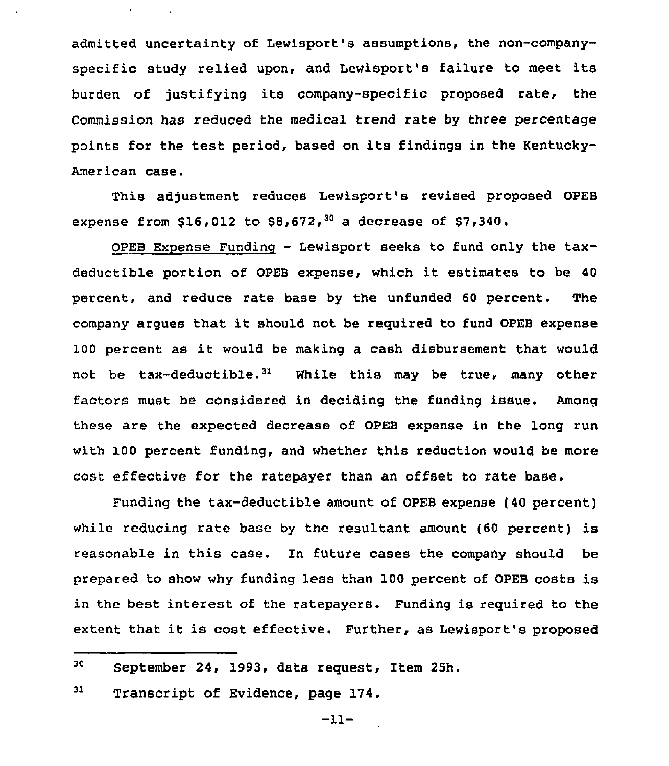admitted uncertainty of Lewisport's assumptions, the non-companyspecific study relied upon, and Lewisport's failure to meet its burden of justifying its company-specific proposed rate, the Commission has reduced the medical trend rate by three percentage points for the test period, based on its findings in the Kentucky-American case.

This adjustment reduces Lewisport's revised proposed OPEB expense from \$16,012 to \$8,672,<sup>30</sup> a decrease of \$7,340.

OPEB Expense Funding — Lewisport seeks to fund only the taxdeductible portion of OPEB expense, which it estimates to be <sup>40</sup> percent, and reduce rate base by the unfunded 60 percent. The company argues that it should not be required to fund OPEB expense <sup>100</sup> percent as it would be making <sup>a</sup> cash disbursement that would not be tax-deductible.<sup>31</sup> While this may be true, many other factors must be considered in deciding the funding issue. Among these are the expected decrease of OPEB expense in the long run with 100 percent funding, and whether this reduction would be more cost effective for the ratepayer than an offset to rate base.

Funding the tax-deductible amount of OPEB expense (40 percent) while reducing rate base by the resultant amount (60 percent) is reasonable in this case. In future cases the company should be prepared to show why funding less than 100 percent of OPEB costs is in the best interest of the ratepayers. Funding is required to the extent that it is cost effective. Further, as Lewisport's proposed

31 Transcript of Evidence, page 174.

<sup>30</sup> September 24, 1993, data request, Item 25h.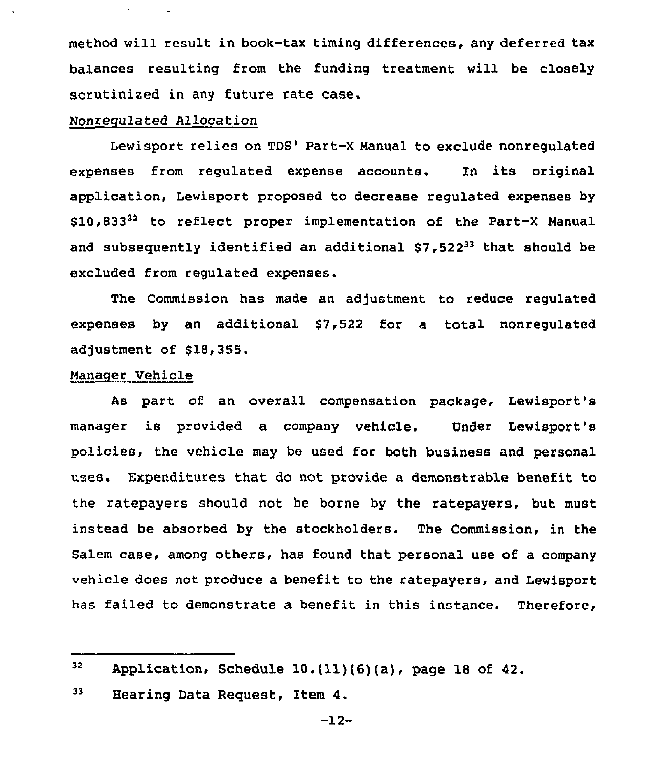method will result in book-tax timing differences, any deferred tax ba1ances resulting from the funding treatment will be closely scrutinized in any future rate case.

# Nonregulated Allocation

Lewisport relies on TDS' Part-X Manual to exclude nonregulated expenses from regulated expense accounts. In its original application, Lewisport proposed to decrease regulated expenses by \$10,83332 to reflect proper implementation of the Part-X Manual and subsequently identified an additional  $$7,522^{33}$  that should be excluded from regulated expenses.

The Commission has made an adjustment to reduce regulated expenses by an additional \$7,522 for a total nonregulated adjustment of \$18,355,

### Manager Vehicle

As part of an overall compensation package, Lewisport's manager is provided a company vehicle. Under Lewisport'B policies, the vehicle may be used for both business and personal uses. Expenditures that do not provide a demonstrable benefit to the ratepayers should not be borne by the ratepayers, but must instead be absorbed by the stockholders. The Commission, in the Salem case, among others, has found that personal use of a company vehicle does not produce a benefit to the ratepayers, and Lewisport has failed to demonstrate a benefit in this instance. Therefore,

 $32<sub>2</sub>$ Application, Schedule  $10.(11)(6)(a)$ , page 18 of 42.

<sup>33</sup> Hearing Data Request, Item 4.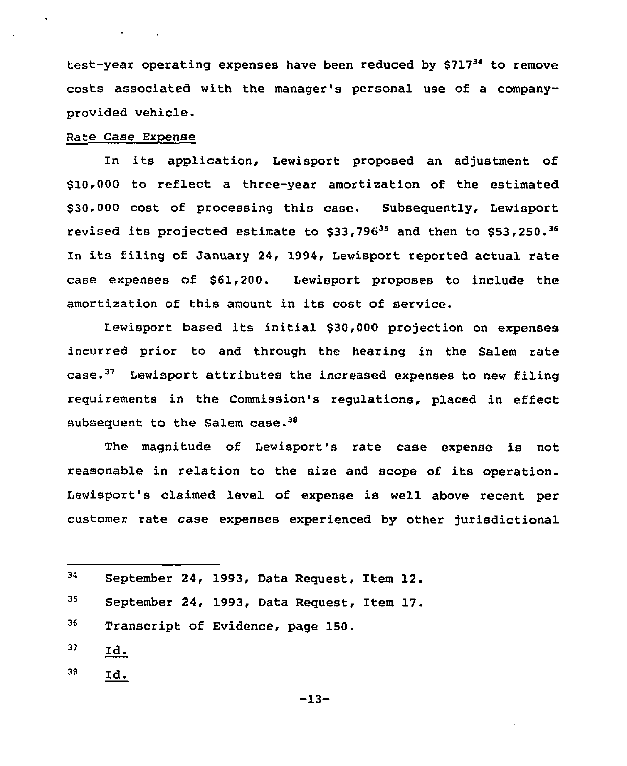test-year operating expenses have been reduced by \$71734 to remove costs associated with the manager's personal use of a companyprovided vehicle.

# Rate Case Expense

In its application, Lewisport proposed an adjustment of \$10,000 to reflect a three-year amortization of the estimated \$30,000 cost of processing this case. Subsequently, Lewisport revised its projected estimate to  $$33,796^{35}$  and then to  $$53,250.^{36}$ 'n its filing of January 24, 1994, Lewisport reported actual rate case expenses of \$61,200. Lewisport proposes to include the amortization of this amount in its cost of service.

Lewisport based its initial \$30,000 projection on expenses incurred prior to and through the hearing in the Salem rate case.<sup>37</sup> Lewisport attributes the increased expenses to new filing requirements in the Commission's regulations, placed in effect subsequent to the Salem case.<sup>38</sup>

The magnitude of Lewisport's rate case expense is not reasonable in relation to the size and scope of its operation. Lewisport's claimed level of expense is well above recent per customer rate case expenses experienced by other jurisdictional

- 37 lId.
- $38$  Id.

<sup>34</sup> 35 September 24, 1993, Data Request, Item 12. September 24, 1993, Data Request, Item 17.

<sup>36</sup> Transcript of Evidence, page 150.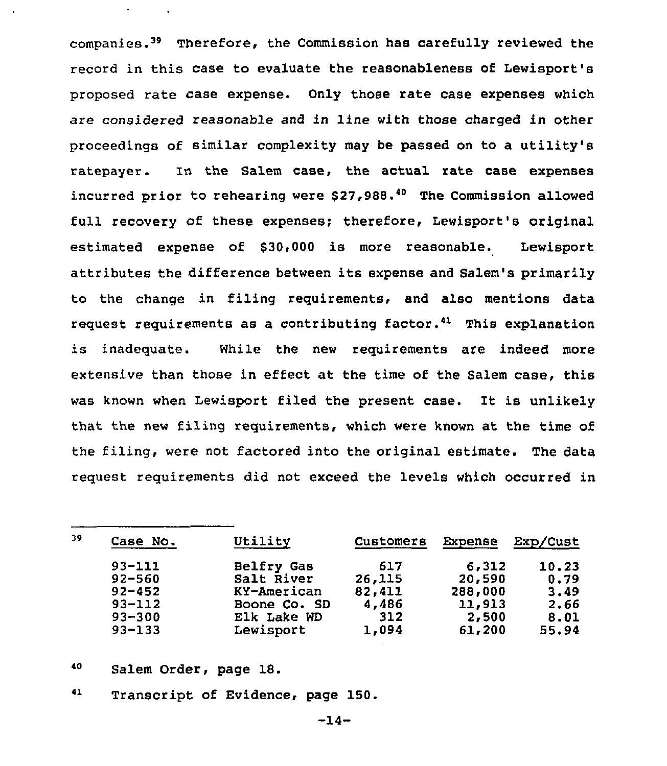companies.<sup>39</sup> Therefore, the Commission has carefully reviewed the record in this case to evaluate the reasonableness of Lewisport's proposed rate case expense. Only those rate case expenses which are considered reasonable and in line with those charged in other proceedings of similar complexity may be passed on to a utility's ratepayer. In the Salem case, the actual rate case expenses incurred prior to rehearing were  $$27,988.^{40}$  The Commission allowed full recovery of these expenses; therefore, Lewisport's original estimated expense of \$30,000 is more reasonable. Lewisport attributes the difference between its expense and Salem's primarily to the change in filing requirements, and also mentions data request requirements as a contributing factor.<sup>41</sup> This explanation is inadequate. While the new requirements are indeed more extensive than those in effect at the time of the Salem case, this was known when Lewisport filed the present case. It is unlikely that the new filing requirements, which were known at the time of the filing, were not factored into the original estimate. The data request requirements did not exceed the levels which occurred in

| 39 | Case No.   | Utility      | Customers | Expense | Exp/Cust |
|----|------------|--------------|-----------|---------|----------|
|    | $93 - 111$ | Belfry Gas   | 617       | 6,312   | 10.23    |
|    | $92 - 560$ | Salt River   | 26,115    | 20,590  | 0.79     |
|    | $92 - 452$ | KY-American  | 82,411    | 288,000 | 3.49     |
|    | $93 - 112$ | Boone Co. SD | 4,486     | 11,913  | 2.66     |
|    | $93 - 300$ | Elk Lake WD  | 312       | 2,500   | 8.01     |
|    | $93 - 133$ | Lewisport    | 1,094     | 61,200  | 55.94    |

- 40 Salem Order, page 18.
- 41 Transcript of Evidence, page 150.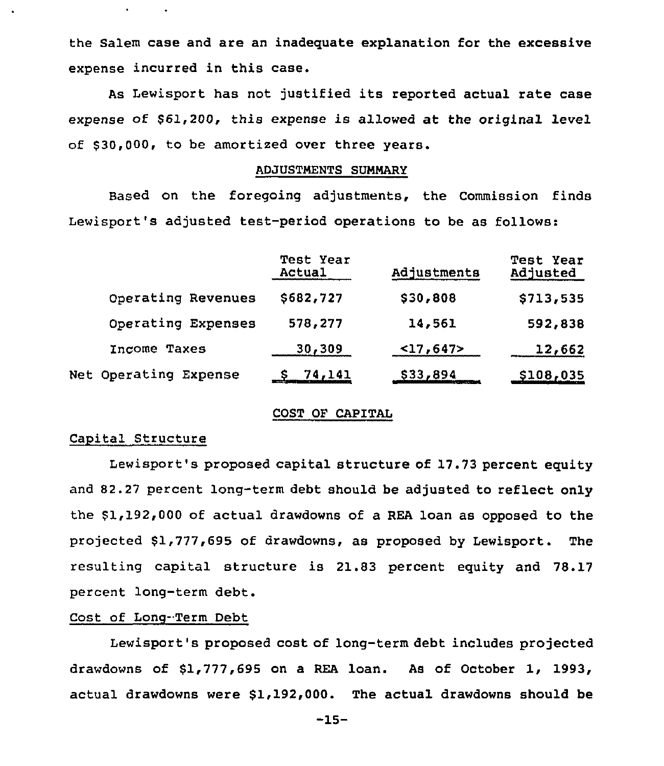the Salem case and are an inadequate explanation for the excessive expense incurred in this case.

As Lewisport has not justified its reported actual rate case expense of \$61,200, this expense is allowed at the original level of \$30,000, to be amortized over three years.

#### ADJUSTNENTS SUNNARY

Based on the foregoing adjustments, the Commission finds Lewisport's adjusted test-period operations to be as follows:

|                       | <b>Test Year</b><br>Actual | Adjustments | <b>Test Year</b><br>Adjusted |
|-----------------------|----------------------------|-------------|------------------------------|
| Operating Revenues    | \$682,727                  | \$30,808    | \$713,535                    |
| Operating Expenses    | 578,277                    | 14,561      | 592,838                      |
| Income Taxes          | 30,309                     | $<$ 17,647> | 12,662                       |
| Net Operating Expense | $S$ 74,141                 | \$33,894    | <u>\$108,035</u>             |

## COST OP CAPITAL

## Capital Structure

Lewisport's proposed capital structure of 17.73 percent equity and 82.27 percent long-term debt should be adjusted to reflect only the \$1,192,000 of actual drawdowns of a REA loan as opposed to the projected \$1,777,695 of drawdowns, as proposed by Lewisport. The resulting capital structure is 21.83 percent equity and 78.17 percent long-term debt.

# Cost of Long-Term Debt

Lewisport's proposed cost of long-term debt includes projected drawdowns of \$1,777,695 on <sup>a</sup> REA loan. As of October 1, 1993, actual drawdowns were \$1,192,000. The actual drawdowns should be

-15-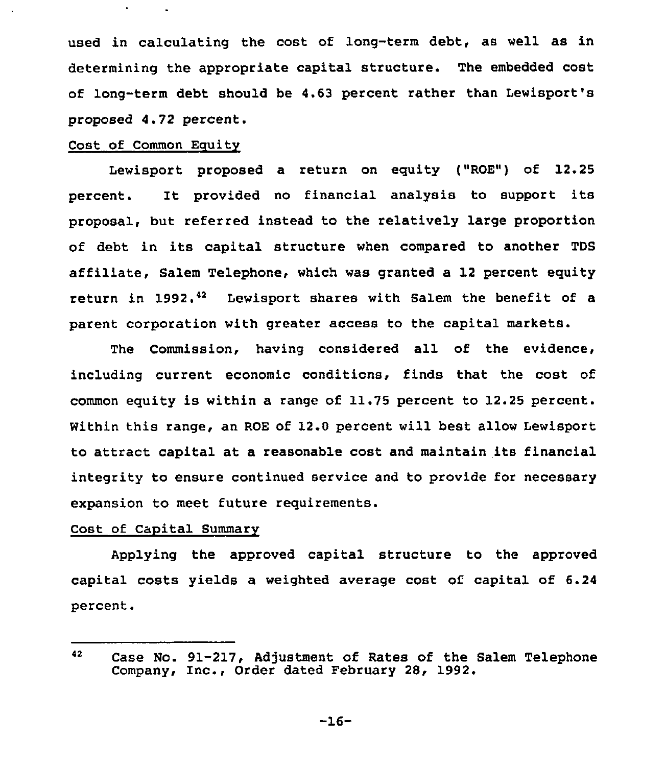used in calculating the cost of long-term debt, as well as in determining the appropriate capital structure. The embedded cost of long-term debt should be 4.63 pezcent rather than Lewisport's proposed 4.72 percent.

### Cost of Common Equity

Lewisport proposed a return on equity ("ROE") of 12.25 percent. It provided no financial analysis to support its proposal, but referred instead to the relatively large proportion of debt in its capital structure when compared to another TDS affiliate, Salem Telephone, which was granted a 12 percent equity return in 1992.<sup>42</sup> Lewisport shares with Salem the benefit of a parent corporation with greater access to the capital markets.

The Commission, having considered all of the evidence, including current economic conditions, finds that the cost of common equity is within a range of 11.75 percent to 12.25 percent. Within this range, an ROE of 12.0 percent will best allow Lewisport to attract capital at a reasonable cost and maintain its financial integrity to ensure continued service and to provide for necessary expansion to meet future requirements.

# Cost of Capital Summarv

Applying the approved capital structure to the approved capital costs yields a weighted average cost of. capital of 6.24 percent.

-16-

<sup>42</sup> Case No. 91-217, Adjustment of Rates of the Salem Telephone Company, Inc., Order dated February 28, 1992.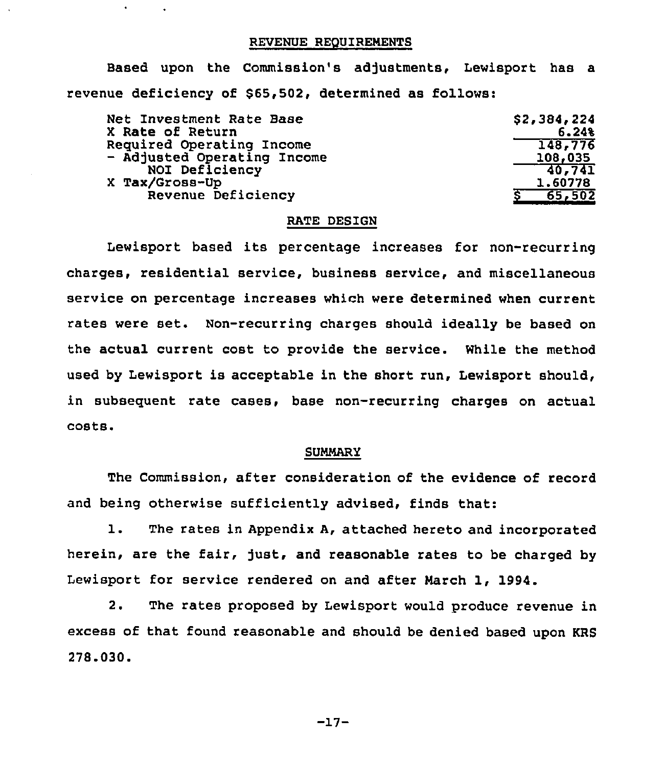#### REVENUE REQUIREMENTS

Based upon the Commission's adjustments, Lewisport has a revenue deficiency of 865,502, determined as follows:

| Net Investment Rate Base    | \$2,384,224 |
|-----------------------------|-------------|
| X Rate of Return            | 6.248       |
| Required Operating Income   | 148,776     |
| - Adjusted Operating Income | 108,035     |
| NOI Deficiency              | 70.741      |
| X Tax/Gross-Up              | 1.60778     |
| Revenue Deficiency          | 65,502      |
|                             |             |

#### RATE DESIGN

Lewisport based its percentage increases for non-recurring charges, residential service, business service, and miscellaneous service on percentage increases which were determined when current rates were set. Non-recurring charges should ideally be based on the actual current cost to provide the service. While the method used by Lewisport is acceptable in the short run, Lewisport should, in subsequent rate cases, base non-recurring charges on actual costs,

#### SUMMARY

The Commission, after consideration of the evidence of record and being otherwise sufficiently advised, finds that:

1. The rates in Appendix A, attached hereto and incorporated herein, are the fair, just, and reasonable rates to be charged by Lewisport for service rendered on and after March 1, 1994.

2. The rates proposed by Lewisport would produce revenue in excess of that found reasonable and should be denied based upon RRS 278.030.

-17-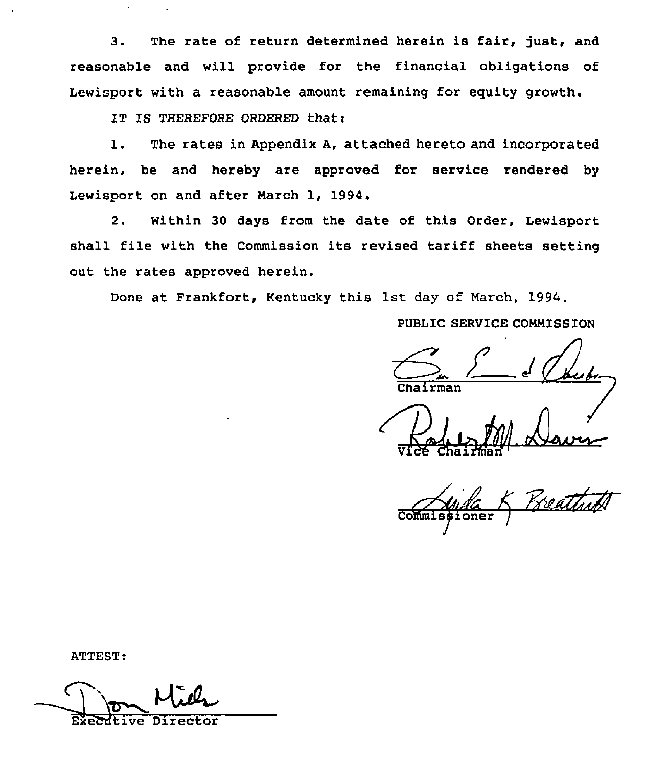3. The rate of return determined herein is fair, just, and reasonable and will provide for the financial obligations of Lewisport with a reasonable amount remaining for equity growth.

IT IS THEREFORE ORDERED that:

1. The rates in Appendix A, attached hereto and incorporated herein, be and hereby are approved for service rendered by Lewisport on and after March 1, 1994.

2. Within 30 days from the date of this Order, Lewisport shall file with the Commission its revised tariff sheets setting out the rates approved herein.

Done at Frankfort, Kentucky this 1st day of March, 1994.

# PUBLIC SERVICE COMMISSION

rman

 $\bigoplus_{\forall x \in A}$ Pole M1 Davie

ioner 'oEmisgioner /

ATTEST:

**Executive**